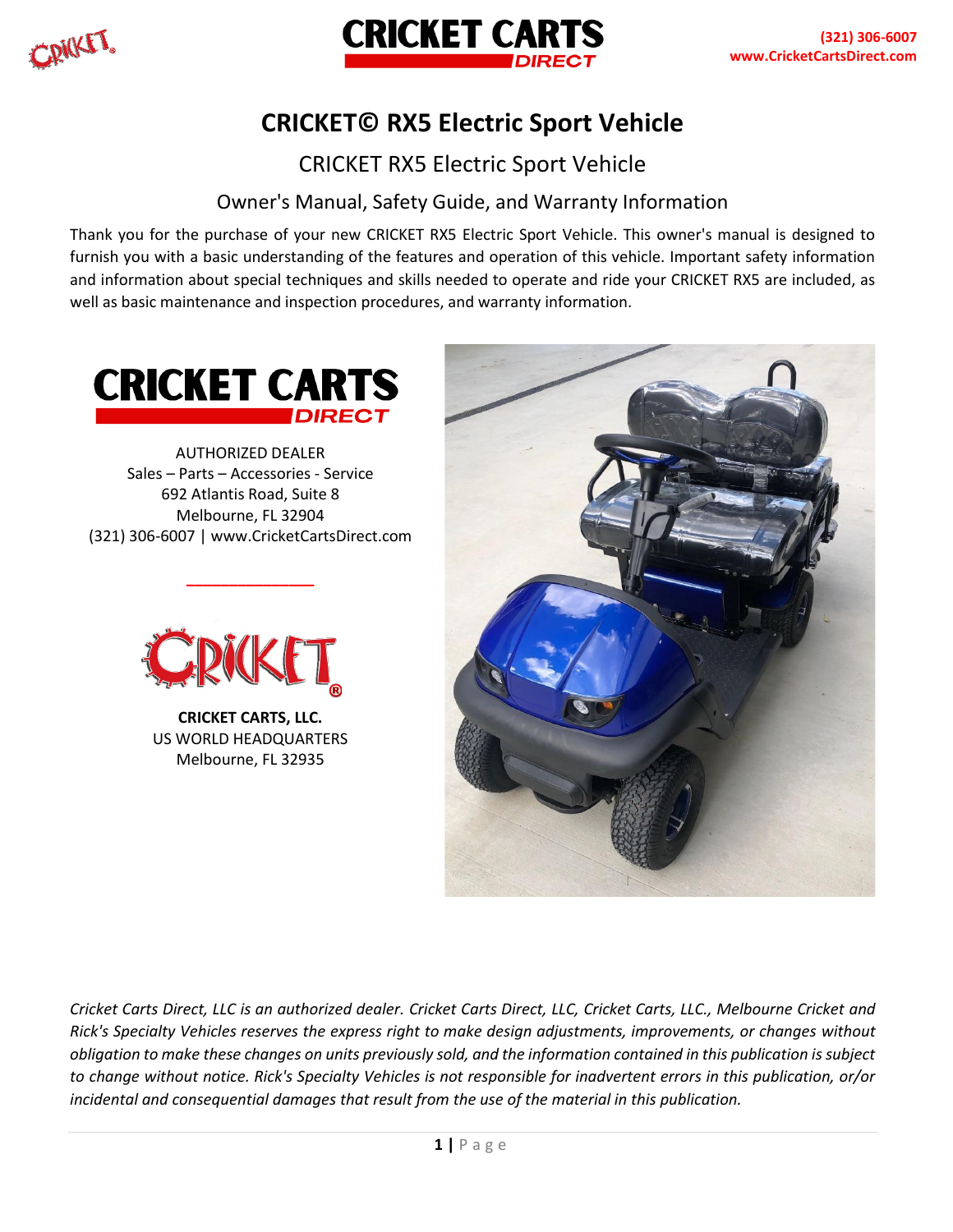

# **CRICKET© RX5 Electric Sport Vehicle**

CRICKET RX5 Electric Sport Vehicle

# Owner's Manual, Safety Guide, and Warranty Information

Thank you for the purchase of your new CRICKET RX5 Electric Sport Vehicle. This owner's manual is designed to furnish you with a basic understanding of the features and operation of this vehicle. Important safety information and information about special techniques and skills needed to operate and ride your CRICKET RX5 are included, as well as basic maintenance and inspection procedures, and warranty information.



AUTHORIZED DEALER Sales – Parts – Accessories - Service 692 Atlantis Road, Suite 8 Melbourne, FL 32904 (321) 306-6007 | www.CricketCartsDirect.com

**\_\_\_\_\_\_\_\_\_\_\_\_\_\_\_**



**CRICKET CARTS, LLC.** US WORLD HEADQUARTERS Melbourne, FL 32935



*Cricket Carts Direct, LLC is an authorized dealer. Cricket Carts Direct, LLC, Cricket Carts, LLC., Melbourne Cricket and Rick's Specialty Vehicles reserves the express right to make design adjustments, improvements, or changes without obligation to make these changes on units previously sold, and the information contained in this publication is subject to change without notice. Rick's Specialty Vehicles is not responsible for inadvertent errors in this publication, or/or incidental and consequential damages that result from the use of the material in this publication.*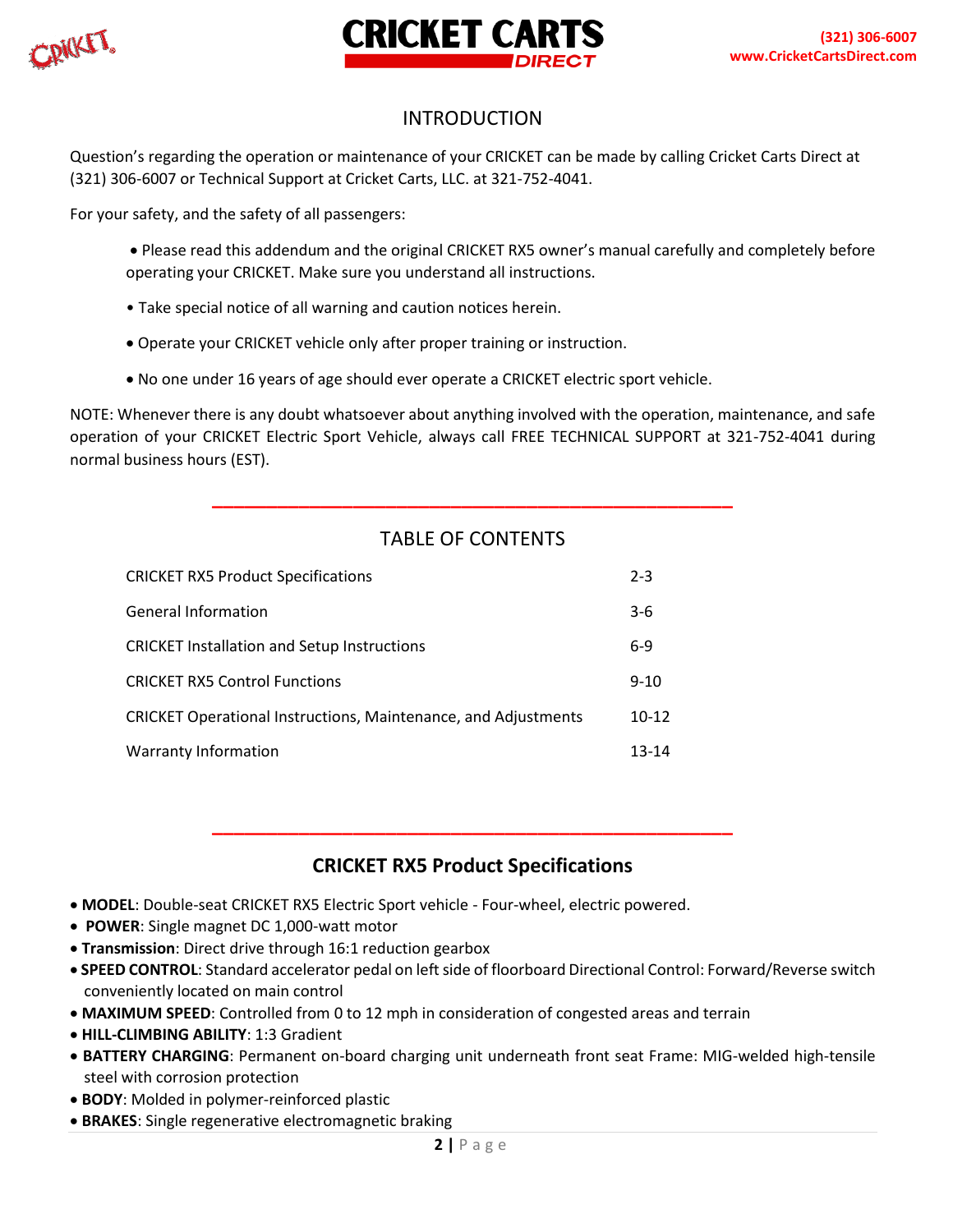



# INTRODUCTION

Question's regarding the operation or maintenance of your CRICKET can be made by calling Cricket Carts Direct at (321) 306-6007 or Technical Support at Cricket Carts, LLC. at 321-752-4041.

For your safety, and the safety of all passengers:

- Please read this addendum and the original CRICKET RX5 owner's manual carefully and completely before operating your CRICKET. Make sure you understand all instructions.
- Take special notice of all warning and caution notices herein.
- Operate your CRICKET vehicle only after proper training or instruction.
- No one under 16 years of age should ever operate a CRICKET electric sport vehicle.

NOTE: Whenever there is any doubt whatsoever about anything involved with the operation, maintenance, and safe operation of your CRICKET Electric Sport Vehicle, always call FREE TECHNICAL SUPPORT at 321-752-4041 during normal business hours (EST).

# TABLE OF CONTENTS

**\_\_\_\_\_\_\_\_\_\_\_\_\_\_\_\_\_\_\_\_\_\_\_\_\_\_\_\_\_\_\_\_\_\_\_\_\_\_\_\_\_\_\_\_\_\_\_\_**

| <b>CRICKET RX5 Product Specifications</b>                             | $2 - 3$   |
|-----------------------------------------------------------------------|-----------|
| <b>General Information</b>                                            | $3-6$     |
| <b>CRICKET Installation and Setup Instructions</b>                    | $6-9$     |
| <b>CRICKET RX5 Control Functions</b>                                  | $9 - 10$  |
| <b>CRICKET Operational Instructions, Maintenance, and Adjustments</b> | $10 - 12$ |
| <b>Warranty Information</b>                                           | 13-14     |

# **CRICKET RX5 Product Specifications**

**\_\_\_\_\_\_\_\_\_\_\_\_\_\_\_\_\_\_\_\_\_\_\_\_\_\_\_\_\_\_\_\_\_\_\_\_\_\_\_\_\_\_\_\_\_\_\_\_**

- **MODEL**: Double-seat CRICKET RX5 Electric Sport vehicle Four-wheel, electric powered.
- **POWER**: Single magnet DC 1,000-watt motor
- **Transmission**: Direct drive through 16:1 reduction gearbox
- **SPEED CONTROL**: Standard accelerator pedal on left side of floorboard Directional Control: Forward/Reverse switch conveniently located on main control
- **MAXIMUM SPEED**: Controlled from 0 to 12 mph in consideration of congested areas and terrain
- **HILL-CLIMBING ABILITY**: 1:3 Gradient
- **BATTERY CHARGING**: Permanent on-board charging unit underneath front seat Frame: MIG-welded high-tensile steel with corrosion protection
- **BODY**: Molded in polymer-reinforced plastic
- **BRAKES**: Single regenerative electromagnetic braking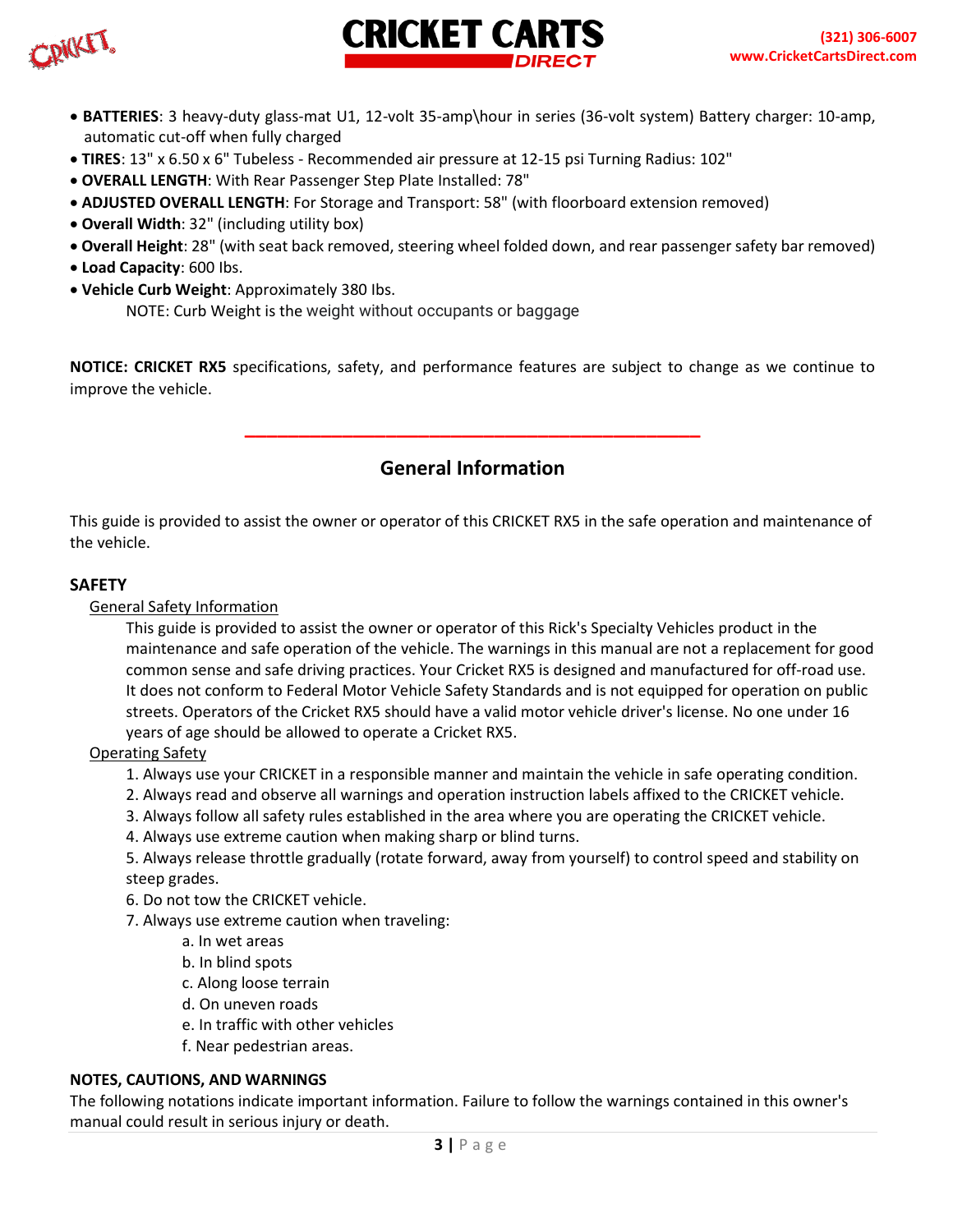



- **BATTERIES**: 3 heavy-duty glass-mat U1, 12-volt 35-amp\hour in series (36-volt system) Battery charger: 10-amp, automatic cut-off when fully charged
- **TIRES**: 13" x 6.50 x 6" Tubeless Recommended air pressure at 12-15 psi Turning Radius: 102"
- **OVERALL LENGTH**: With Rear Passenger Step Plate Installed: 78"
- **ADJUSTED OVERALL LENGTH**: For Storage and Transport: 58" (with floorboard extension removed)
- **Overall Width**: 32" (including utility box)
- **Overall Height**: 28" (with seat back removed, steering wheel folded down, and rear passenger safety bar removed)
- **Load Capacity**: 600 Ibs.
- **Vehicle Curb Weight**: Approximately 380 Ibs. NOTE: Curb Weight is the weight without occupants or baggage

**NOTICE: CRICKET RX5** specifications, safety, and performance features are subject to change as we continue to improve the vehicle.

**General Information**

**\_\_\_\_\_\_\_\_\_\_\_\_\_\_\_\_\_\_\_\_\_\_\_\_\_\_\_\_\_\_\_\_\_\_\_\_\_\_\_\_\_\_**

This guide is provided to assist the owner or operator of this CRICKET RX5 in the safe operation and maintenance of the vehicle.

#### **SAFETY**

General Safety Information

This guide is provided to assist the owner or operator of this Rick's Specialty Vehicles product in the maintenance and safe operation of the vehicle. The warnings in this manual are not a replacement for good common sense and safe driving practices. Your Cricket RX5 is designed and manufactured for off-road use. It does not conform to Federal Motor Vehicle Safety Standards and is not equipped for operation on public streets. Operators of the Cricket RX5 should have a valid motor vehicle driver's license. No one under 16 years of age should be allowed to operate a Cricket RX5.

#### Operating Safety

- 1. Always use your CRICKET in a responsible manner and maintain the vehicle in safe operating condition.
- 2. Always read and observe all warnings and operation instruction labels affixed to the CRICKET vehicle.
- 3. Always follow all safety rules established in the area where you are operating the CRICKET vehicle.
- 4. Always use extreme caution when making sharp or blind turns.

5. Always release throttle gradually (rotate forward, away from yourself) to control speed and stability on steep grades.

- 6. Do not tow the CRICKET vehicle.
- 7. Always use extreme caution when traveling:
	- a. In wet areas
	- b. In blind spots
	- c. Along loose terrain
	- d. On uneven roads
	- e. In traffic with other vehicles
	- f. Near pedestrian areas.

#### **NOTES, CAUTIONS, AND WARNINGS**

The following notations indicate important information. Failure to follow the warnings contained in this owner's manual could result in serious injury or death.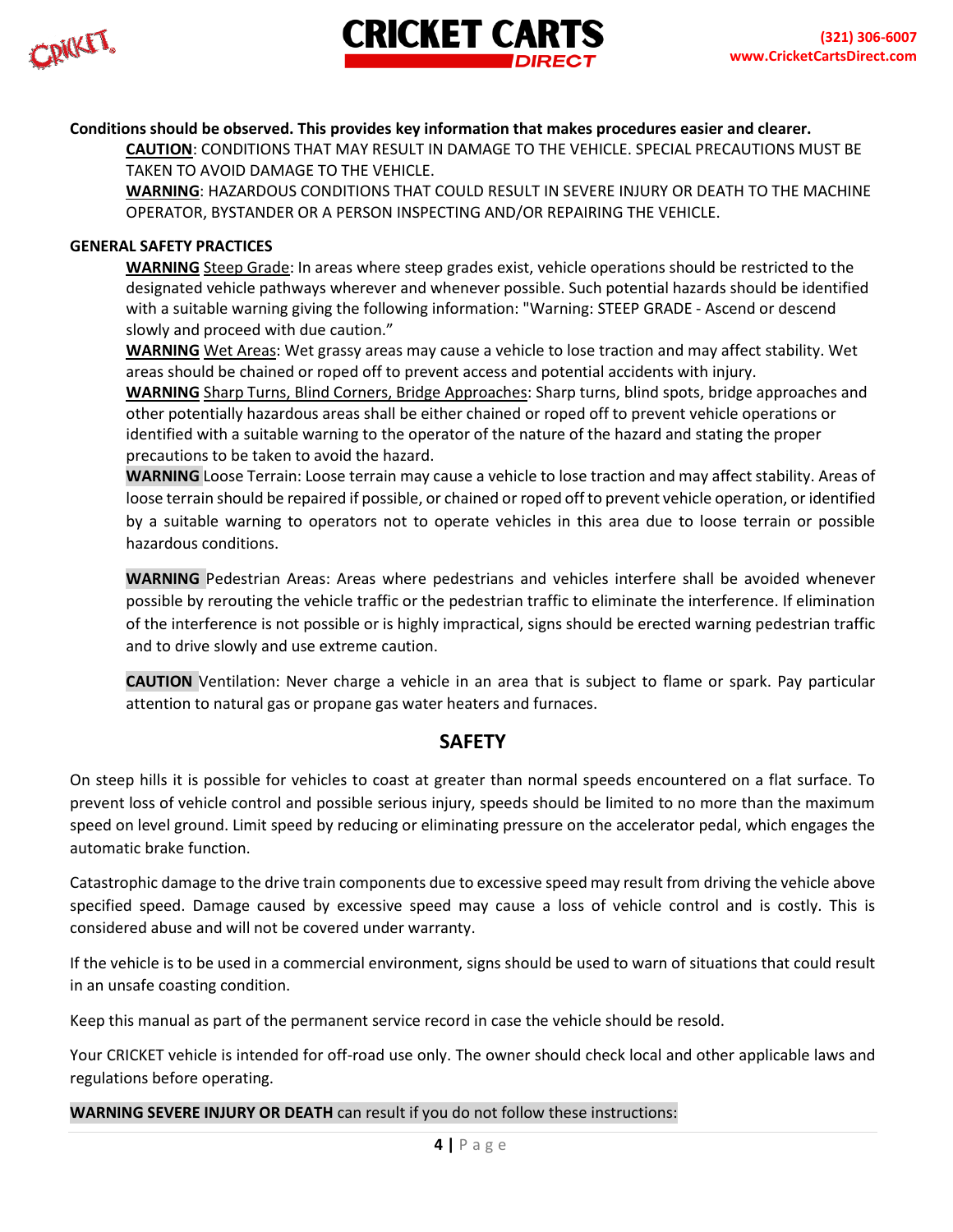CRICKET.



#### **Conditions should be observed. This provides key information that makes procedures easier and clearer.**

**CAUTION**: CONDITIONS THAT MAY RESULT IN DAMAGE TO THE VEHICLE. SPECIAL PRECAUTIONS MUST BE TAKEN TO AVOID DAMAGE TO THE VEHICLE.

**WARNING**: HAZARDOUS CONDITIONS THAT COULD RESULT IN SEVERE INJURY OR DEATH TO THE MACHINE OPERATOR, BYSTANDER OR A PERSON INSPECTING AND/OR REPAIRING THE VEHICLE.

#### **GENERAL SAFETY PRACTICES**

**WARNING** Steep Grade: In areas where steep grades exist, vehicle operations should be restricted to the designated vehicle pathways wherever and whenever possible. Such potential hazards should be identified with a suitable warning giving the following information: "Warning: STEEP GRADE - Ascend or descend slowly and proceed with due caution."

**WARNING** Wet Areas: Wet grassy areas may cause a vehicle to lose traction and may affect stability. Wet areas should be chained or roped off to prevent access and potential accidents with injury.

**WARNING** Sharp Turns, Blind Corners, Bridge Approaches: Sharp turns, blind spots, bridge approaches and other potentially hazardous areas shall be either chained or roped off to prevent vehicle operations or identified with a suitable warning to the operator of the nature of the hazard and stating the proper precautions to be taken to avoid the hazard.

**WARNING** Loose Terrain: Loose terrain may cause a vehicle to lose traction and may affect stability. Areas of loose terrain should be repaired if possible, or chained or roped off to prevent vehicle operation, or identified by a suitable warning to operators not to operate vehicles in this area due to loose terrain or possible hazardous conditions.

**WARNING** Pedestrian Areas: Areas where pedestrians and vehicles interfere shall be avoided whenever possible by rerouting the vehicle traffic or the pedestrian traffic to eliminate the interference. If elimination of the interference is not possible or is highly impractical, signs should be erected warning pedestrian traffic and to drive slowly and use extreme caution.

**CAUTION** Ventilation: Never charge a vehicle in an area that is subject to flame or spark. Pay particular attention to natural gas or propane gas water heaters and furnaces.

### **SAFETY**

On steep hills it is possible for vehicles to coast at greater than normal speeds encountered on a flat surface. To prevent loss of vehicle control and possible serious injury, speeds should be limited to no more than the maximum speed on level ground. Limit speed by reducing or eliminating pressure on the accelerator pedal, which engages the automatic brake function.

Catastrophic damage to the drive train components due to excessive speed may result from driving the vehicle above specified speed. Damage caused by excessive speed may cause a loss of vehicle control and is costly. This is considered abuse and will not be covered under warranty.

If the vehicle is to be used in a commercial environment, signs should be used to warn of situations that could result in an unsafe coasting condition.

Keep this manual as part of the permanent service record in case the vehicle should be resold.

Your CRICKET vehicle is intended for off-road use only. The owner should check local and other applicable laws and regulations before operating.

**WARNING SEVERE INJURY OR DEATH** can result if you do not follow these instructions: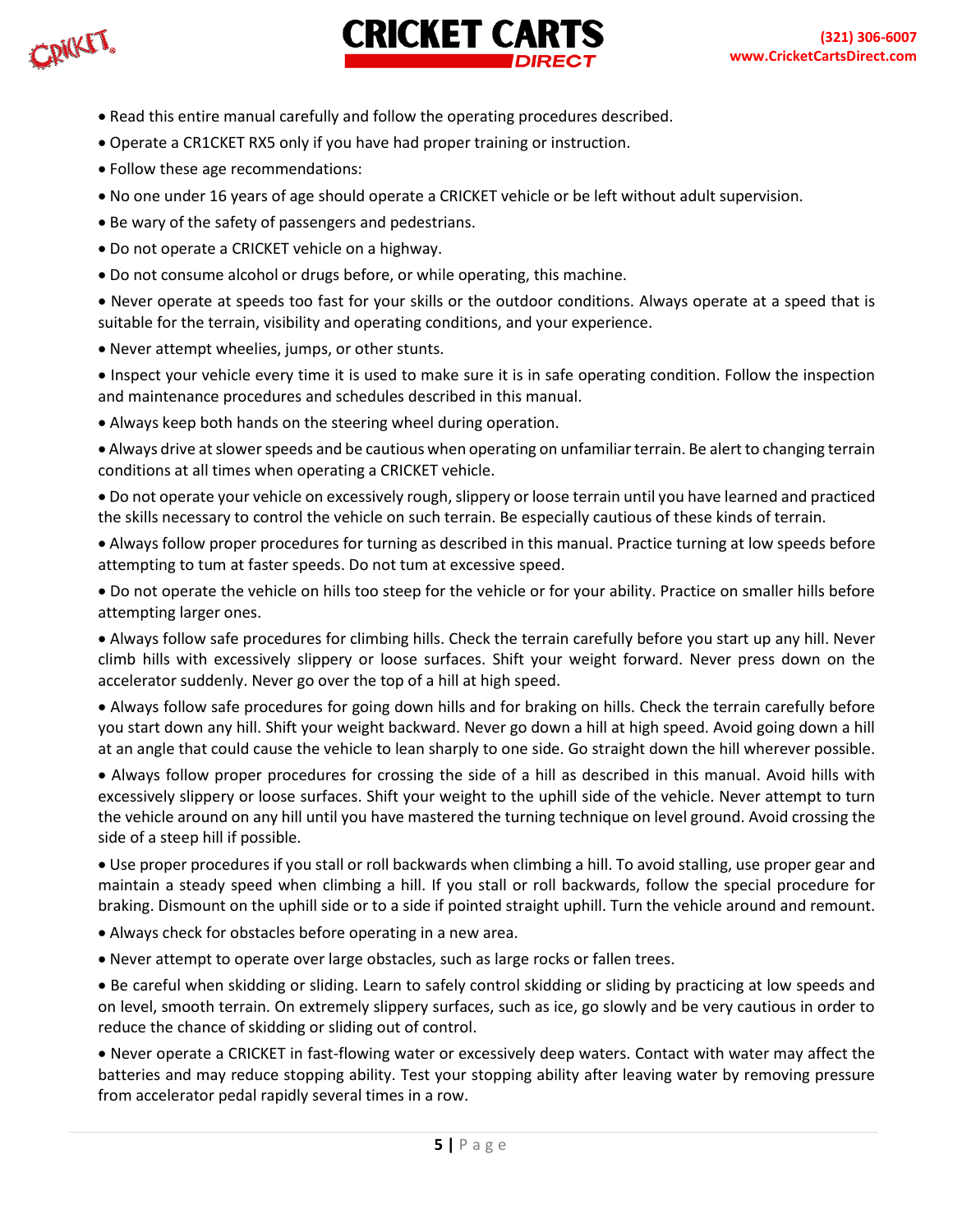CRICKET.



- Read this entire manual carefully and follow the operating procedures described.
- Operate a CR1CKET RX5 only if you have had proper training or instruction.
- Follow these age recommendations:
- No one under 16 years of age should operate a CRICKET vehicle or be left without adult supervision.
- Be wary of the safety of passengers and pedestrians.
- Do not operate a CRICKET vehicle on a highway.
- Do not consume alcohol or drugs before, or while operating, this machine.

• Never operate at speeds too fast for your skills or the outdoor conditions. Always operate at a speed that is suitable for the terrain, visibility and operating conditions, and your experience.

• Never attempt wheelies, jumps, or other stunts.

• Inspect your vehicle every time it is used to make sure it is in safe operating condition. Follow the inspection and maintenance procedures and schedules described in this manual.

• Always keep both hands on the steering wheel during operation.

• Always drive at slower speeds and be cautious when operating on unfamiliar terrain. Be alert to changing terrain conditions at all times when operating a CRICKET vehicle.

• Do not operate your vehicle on excessively rough, slippery or loose terrain until you have learned and practiced the skills necessary to control the vehicle on such terrain. Be especially cautious of these kinds of terrain.

• Always follow proper procedures for turning as described in this manual. Practice turning at low speeds before attempting to tum at faster speeds. Do not tum at excessive speed.

• Do not operate the vehicle on hills too steep for the vehicle or for your ability. Practice on smaller hills before attempting larger ones.

• Always follow safe procedures for climbing hills. Check the terrain carefully before you start up any hill. Never climb hills with excessively slippery or loose surfaces. Shift your weight forward. Never press down on the accelerator suddenly. Never go over the top of a hill at high speed.

• Always follow safe procedures for going down hills and for braking on hills. Check the terrain carefully before you start down any hill. Shift your weight backward. Never go down a hill at high speed. Avoid going down a hill at an angle that could cause the vehicle to lean sharply to one side. Go straight down the hill wherever possible.

• Always follow proper procedures for crossing the side of a hill as described in this manual. Avoid hills with excessively slippery or loose surfaces. Shift your weight to the uphill side of the vehicle. Never attempt to turn the vehicle around on any hill until you have mastered the turning technique on level ground. Avoid crossing the side of a steep hill if possible.

• Use proper procedures if you stall or roll backwards when climbing a hill. To avoid stalling, use proper gear and maintain a steady speed when climbing a hill. If you stall or roll backwards, follow the special procedure for braking. Dismount on the uphill side or to a side if pointed straight uphill. Turn the vehicle around and remount.

• Always check for obstacles before operating in a new area.

• Never attempt to operate over large obstacles, such as large rocks or fallen trees.

• Be careful when skidding or sliding. Learn to safely control skidding or sliding by practicing at low speeds and on level, smooth terrain. On extremely slippery surfaces, such as ice, go slowly and be very cautious in order to reduce the chance of skidding or sliding out of control.

• Never operate a CRICKET in fast-flowing water or excessively deep waters. Contact with water may affect the batteries and may reduce stopping ability. Test your stopping ability after leaving water by removing pressure from accelerator pedal rapidly several times in a row.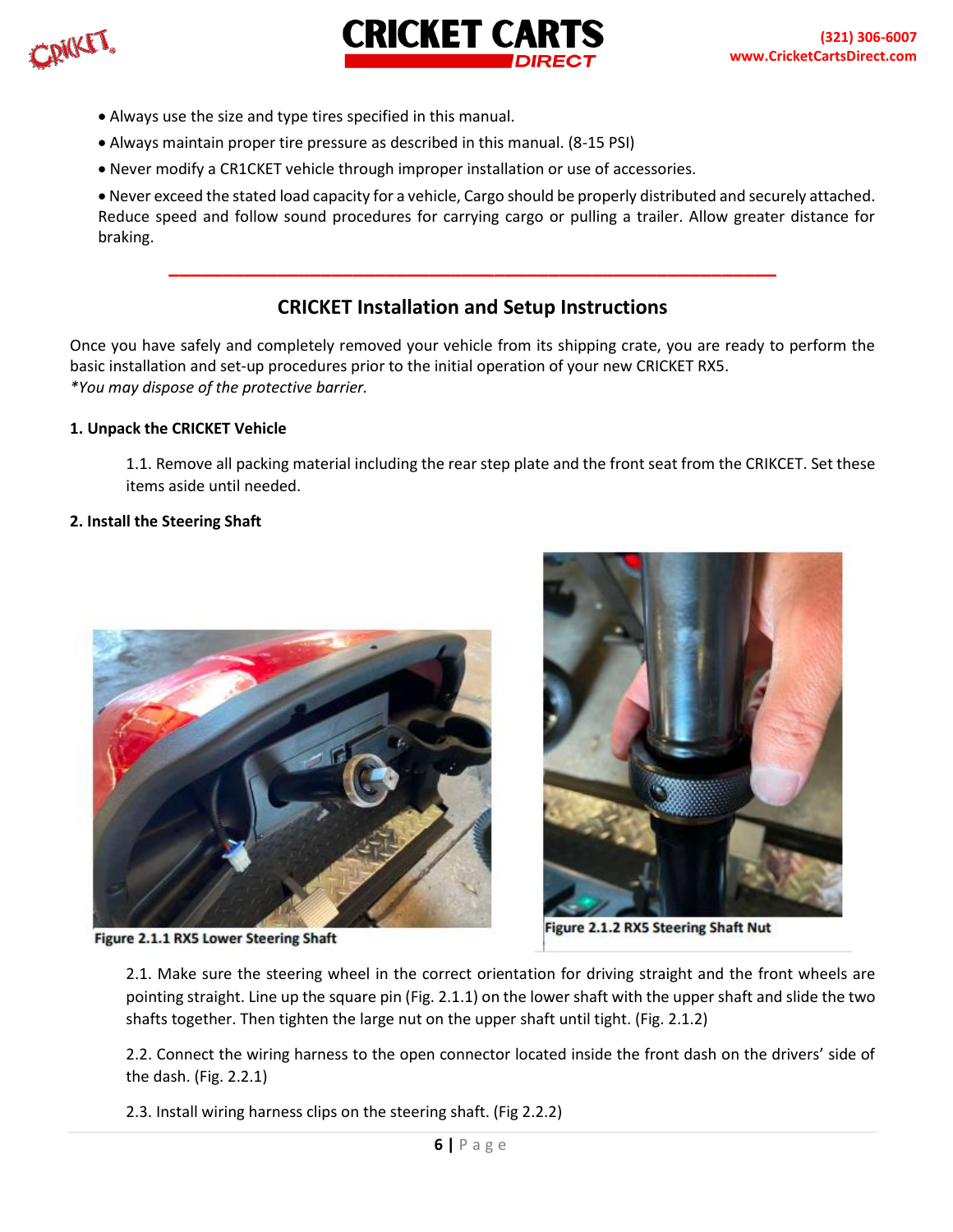CRICKET.



- Always use the size and type tires specified in this manual.
- Always maintain proper tire pressure as described in this manual. (8-15 PSI)
- Never modify a CR1CKET vehicle through improper installation or use of accessories.

• Never exceed the stated load capacity for a vehicle, Cargo should be properly distributed and securely attached. Reduce speed and follow sound procedures for carrying cargo or pulling a trailer. Allow greater distance for braking.

# **CRICKET Installation and Setup Instructions**

**\_\_\_\_\_\_\_\_\_\_\_\_\_\_\_\_\_\_\_\_\_\_\_\_\_\_\_\_\_\_\_\_\_\_\_\_\_\_\_\_\_\_\_\_\_\_\_\_\_\_\_\_\_\_\_\_**

**CRICKET CARTS** 

Once you have safely and completely removed your vehicle from its shipping crate, you are ready to perform the basic installation and set-up procedures prior to the initial operation of your new CRICKET RX5. *\*You may dispose of the protective barrier.* 

#### **1. Unpack the CRICKET Vehicle**

1.1. Remove all packing material including the rear step plate and the front seat from the CRIKCET. Set these items aside until needed.

#### **2. Install the Steering Shaft**



Figure 2.1.1 RX5 Lower Steering Shaft



Figure 2.1.2 RX5 Steering Shaft Nut

2.1. Make sure the steering wheel in the correct orientation for driving straight and the front wheels are pointing straight. Line up the square pin (Fig. 2.1.1) on the lower shaft with the upper shaft and slide the two shafts together. Then tighten the large nut on the upper shaft until tight. (Fig. 2.1.2)

2.2. Connect the wiring harness to the open connector located inside the front dash on the drivers' side of the dash. (Fig. 2.2.1)

2.3. Install wiring harness clips on the steering shaft. (Fig 2.2.2)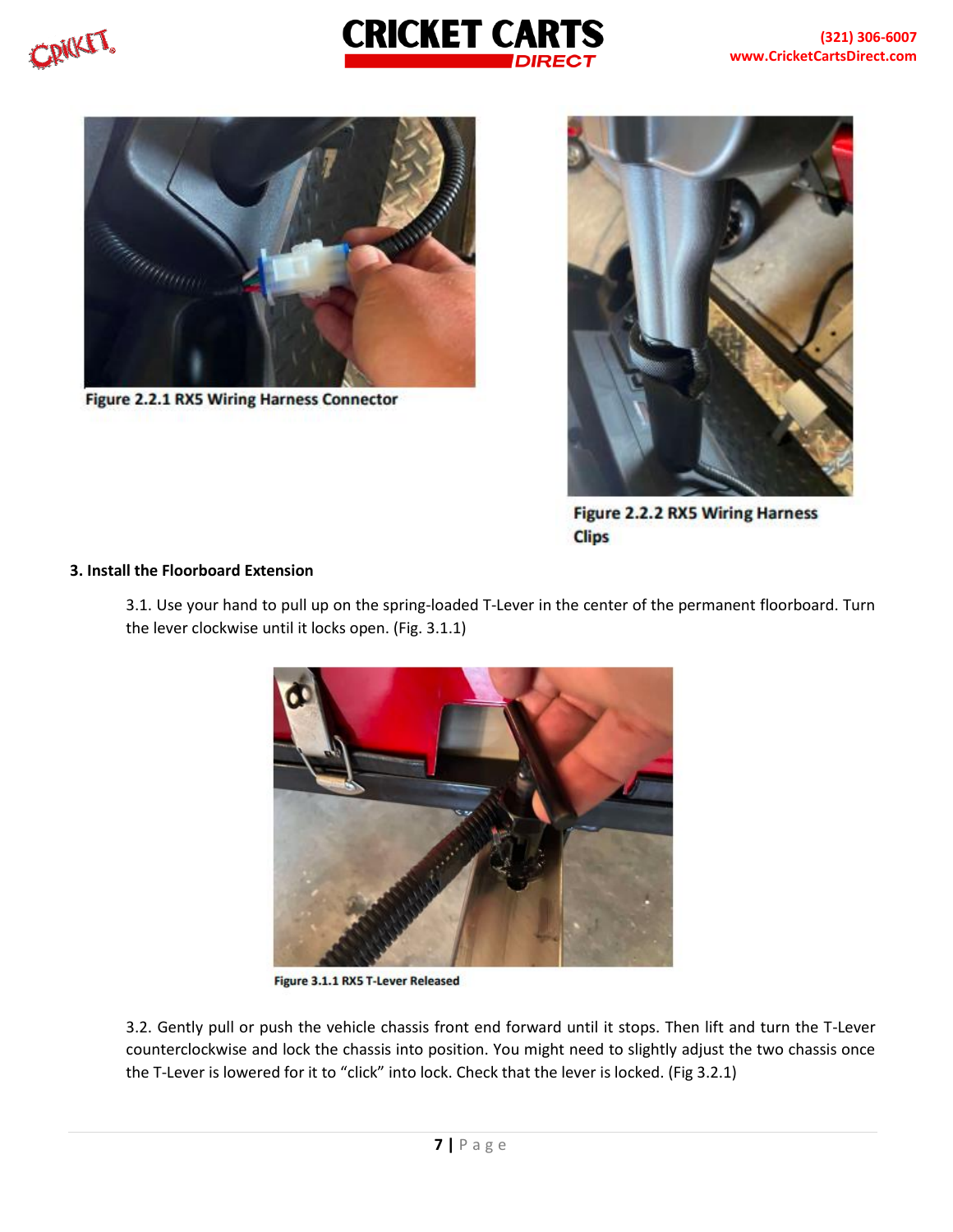CRICKET.





Figure 2.2.1 RX5 Wiring Harness Connector



**Figure 2.2.2 RX5 Wiring Harness Clips** 

#### **3. Install the Floorboard Extension**

3.1. Use your hand to pull up on the spring-loaded T-Lever in the center of the permanent floorboard. Turn the lever clockwise until it locks open. (Fig. 3.1.1)



Figure 3.1.1 RX5 T-Lever Released

3.2. Gently pull or push the vehicle chassis front end forward until it stops. Then lift and turn the T-Lever counterclockwise and lock the chassis into position. You might need to slightly adjust the two chassis once the T-Lever is lowered for it to "click" into lock. Check that the lever is locked. (Fig 3.2.1)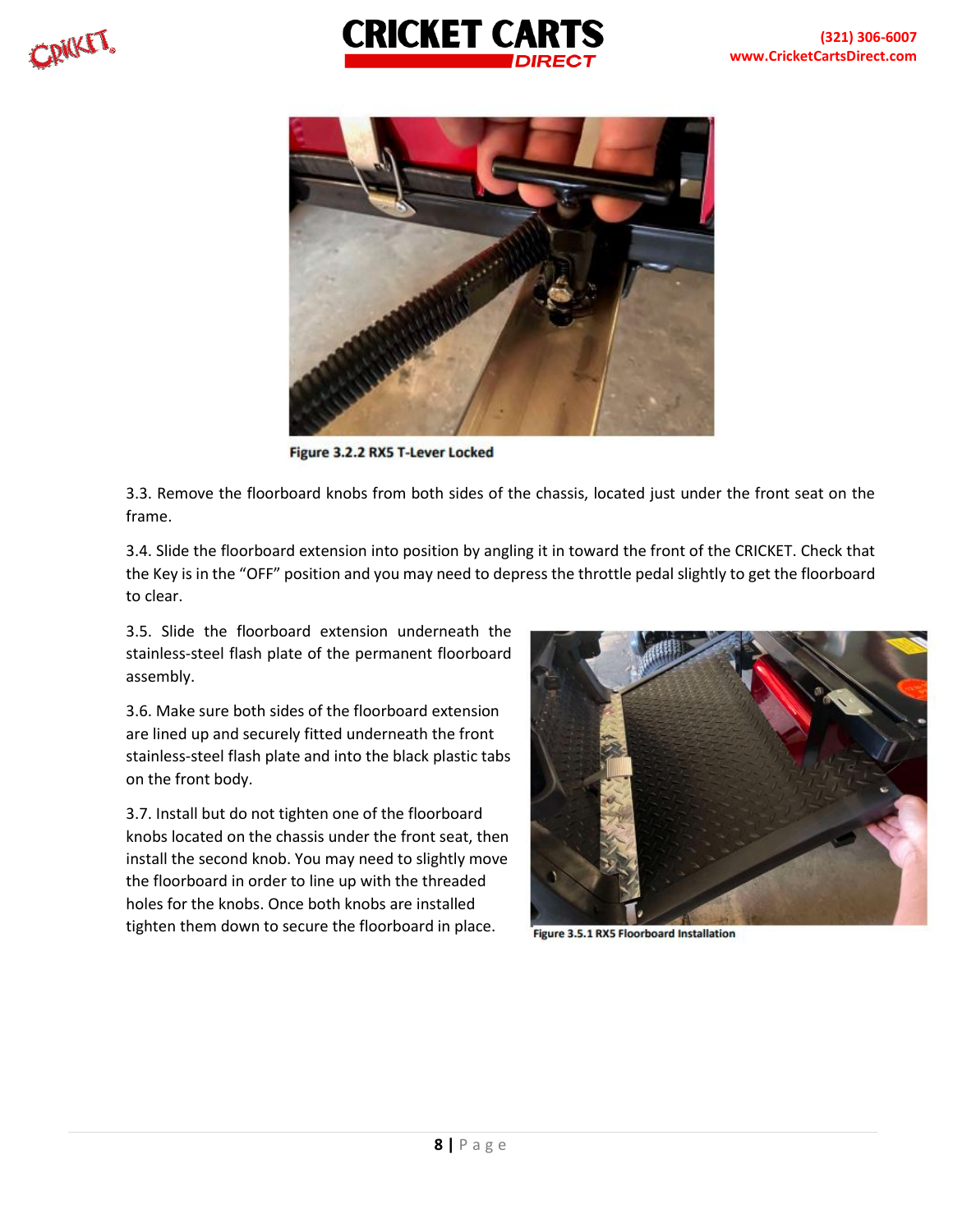



Figure 3.2.2 RX5 T-Lever Locked

3.3. Remove the floorboard knobs from both sides of the chassis, located just under the front seat on the frame.

3.4. Slide the floorboard extension into position by angling it in toward the front of the CRICKET. Check that the Key is in the "OFF" position and you may need to depress the throttle pedal slightly to get the floorboard to clear.

3.5. Slide the floorboard extension underneath the stainless-steel flash plate of the permanent floorboard assembly.

3.6. Make sure both sides of the floorboard extension are lined up and securely fitted underneath the front stainless-steel flash plate and into the black plastic tabs on the front body.

3.7. Install but do not tighten one of the floorboard knobs located on the chassis under the front seat, then install the second knob. You may need to slightly move the floorboard in order to line up with the threaded holes for the knobs. Once both knobs are installed tighten them down to secure the floorboard in place.



Figure 3.5.1 RX5 Floorboard Installation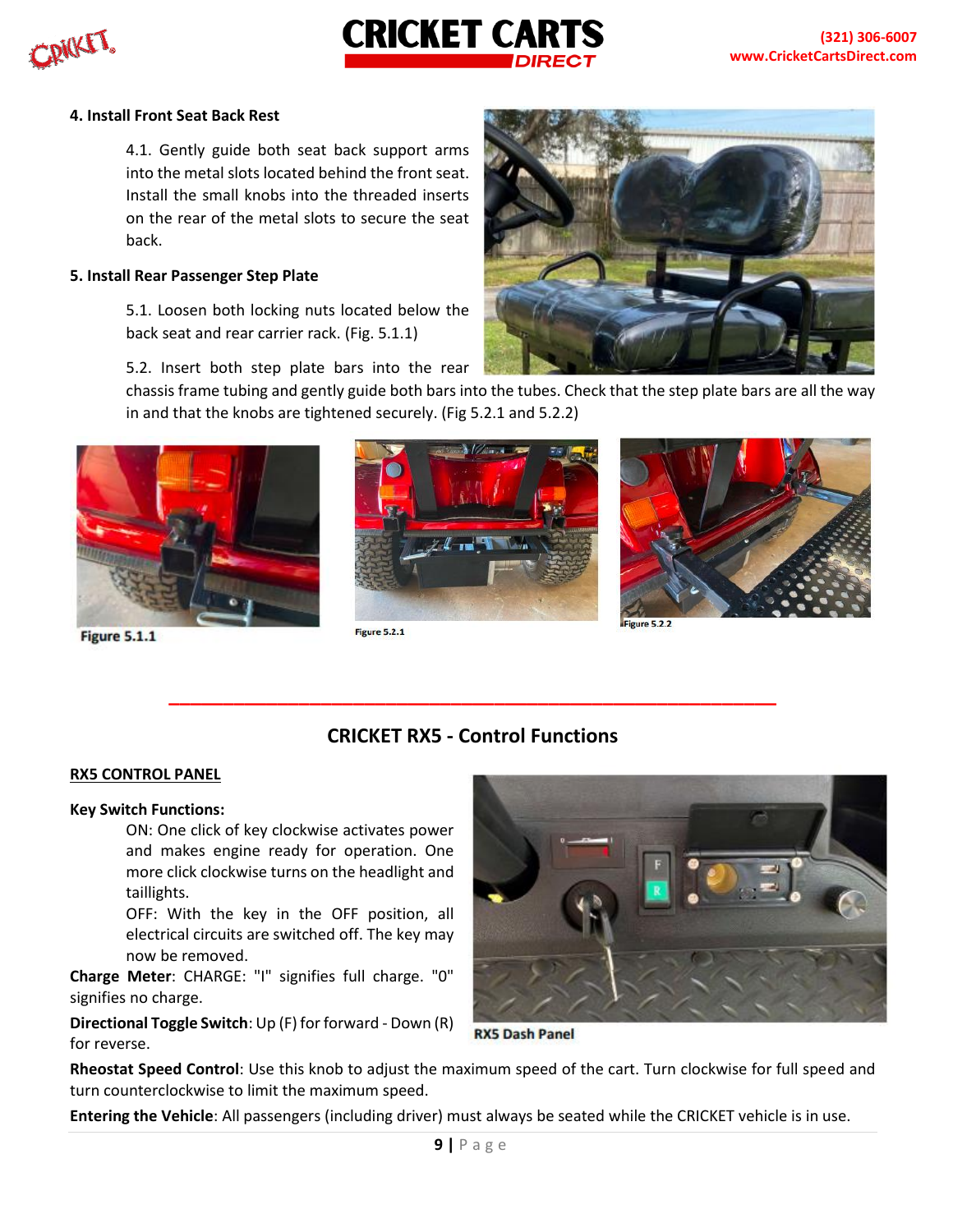

#### **4. Install Front Seat Back Rest**

4.1. Gently guide both seat back support arms into the metal slots located behind the front seat. Install the small knobs into the threaded inserts on the rear of the metal slots to secure the seat back.

#### **5. Install Rear Passenger Step Plate**

5.1. Loosen both locking nuts located below the back seat and rear carrier rack. (Fig. 5.1.1)



5.2. Insert both step plate bars into the rear

chassis frame tubing and gently guide both bars into the tubes. Check that the step plate bars are all the way in and that the knobs are tightened securely. (Fig 5.2.1 and 5.2.2)



**Figure 5.1.1** 



Figure 5.2.1



## **CRICKET RX5 - Control Functions**

**\_\_\_\_\_\_\_\_\_\_\_\_\_\_\_\_\_\_\_\_\_\_\_\_\_\_\_\_\_\_\_\_\_\_\_\_\_\_\_\_\_\_\_\_\_\_\_\_\_\_\_\_\_\_\_\_**

#### **RX5 CONTROL PANEL**

#### **Key Switch Functions:**

ON: One click of key clockwise activates power and makes engine ready for operation. One more click clockwise turns on the headlight and taillights.

OFF: With the key in the OFF position, all electrical circuits are switched off. The key may now be removed.

**Charge Meter**: CHARGE: "I" signifies full charge. "0" signifies no charge.

**Directional Toggle Switch**: Up (F) for forward - Down (R) for reverse.



**RX5 Dash Panel** 

**Rheostat Speed Control**: Use this knob to adjust the maximum speed of the cart. Turn clockwise for full speed and turn counterclockwise to limit the maximum speed.

**Entering the Vehicle**: All passengers (including driver) must always be seated while the CRICKET vehicle is in use.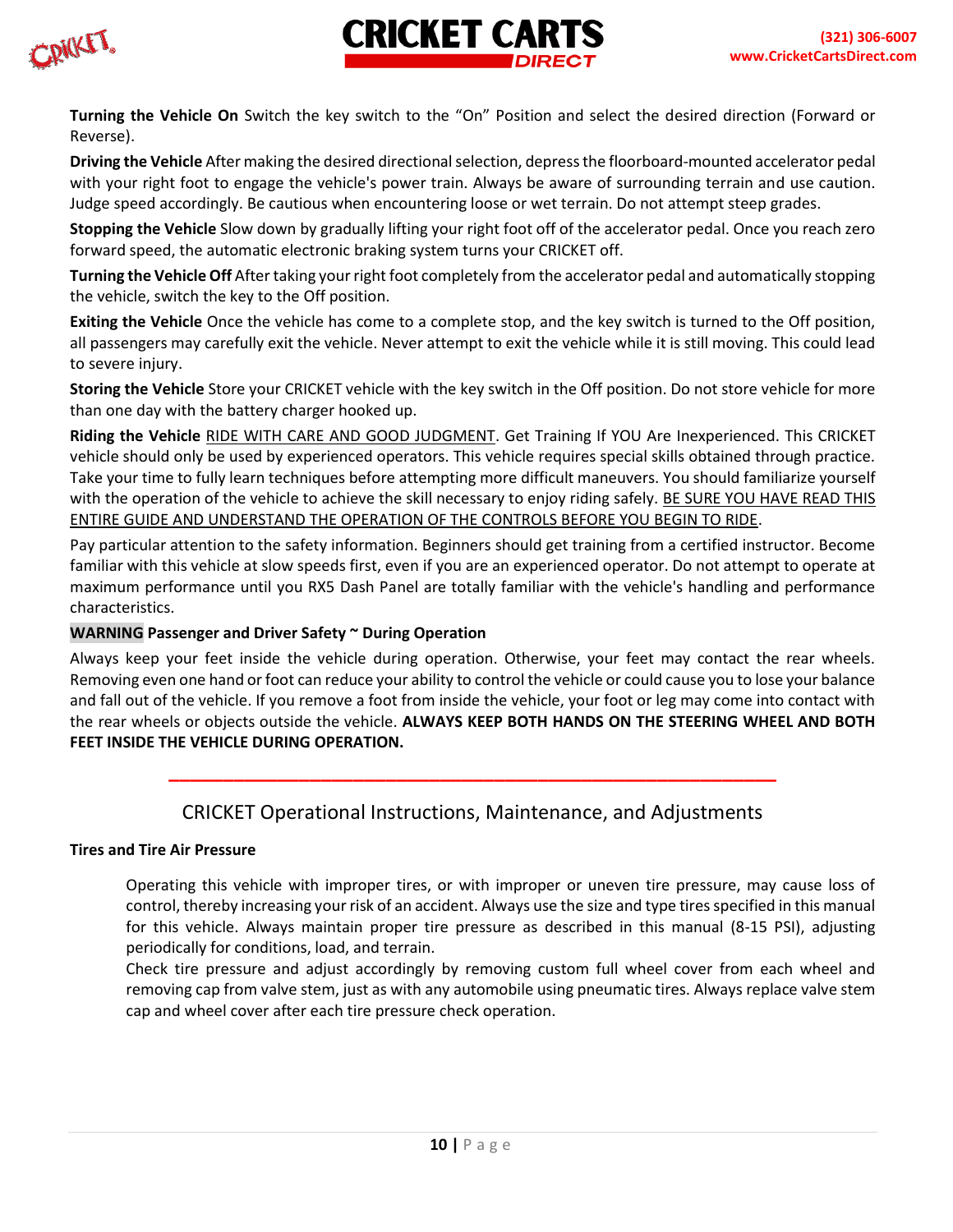

**Turning the Vehicle On** Switch the key switch to the "On" Position and select the desired direction (Forward or Reverse).

**CRICKET CARTS** 

**Driving the Vehicle** After making the desired directional selection, depress the floorboard-mounted accelerator pedal with your right foot to engage the vehicle's power train. Always be aware of surrounding terrain and use caution. Judge speed accordingly. Be cautious when encountering loose or wet terrain. Do not attempt steep grades.

**Stopping the Vehicle** Slow down by gradually lifting your right foot off of the accelerator pedal. Once you reach zero forward speed, the automatic electronic braking system turns your CRICKET off.

**Turning the Vehicle Off** After taking your right foot completely from the accelerator pedal and automatically stopping the vehicle, switch the key to the Off position.

**Exiting the Vehicle** Once the vehicle has come to a complete stop, and the key switch is turned to the Off position, all passengers may carefully exit the vehicle. Never attempt to exit the vehicle while it is still moving. This could lead to severe injury.

**Storing the Vehicle** Store your CRICKET vehicle with the key switch in the Off position. Do not store vehicle for more than one day with the battery charger hooked up.

**Riding the Vehicle** RIDE WITH CARE AND GOOD JUDGMENT. Get Training If YOU Are Inexperienced. This CRICKET vehicle should only be used by experienced operators. This vehicle requires special skills obtained through practice. Take your time to fully learn techniques before attempting more difficult maneuvers. You should familiarize yourself with the operation of the vehicle to achieve the skill necessary to enjoy riding safely. BE SURE YOU HAVE READ THIS ENTIRE GUIDE AND UNDERSTAND THE OPERATION OF THE CONTROLS BEFORE YOU BEGIN TO RIDE.

Pay particular attention to the safety information. Beginners should get training from a certified instructor. Become familiar with this vehicle at slow speeds first, even if you are an experienced operator. Do not attempt to operate at maximum performance until you RX5 Dash Panel are totally familiar with the vehicle's handling and performance characteristics.

### **WARNING Passenger and Driver Safety ~ During Operation**

Always keep your feet inside the vehicle during operation. Otherwise, your feet may contact the rear wheels. Removing even one hand or foot can reduce your ability to control the vehicle or could cause you to lose your balance and fall out of the vehicle. If you remove a foot from inside the vehicle, your foot or leg may come into contact with the rear wheels or objects outside the vehicle. **ALWAYS KEEP BOTH HANDS ON THE STEERING WHEEL AND BOTH FEET INSIDE THE VEHICLE DURING OPERATION.** 

# CRICKET Operational Instructions, Maintenance, and Adjustments

**\_\_\_\_\_\_\_\_\_\_\_\_\_\_\_\_\_\_\_\_\_\_\_\_\_\_\_\_\_\_\_\_\_\_\_\_\_\_\_\_\_\_\_\_\_\_\_\_\_\_\_\_\_\_\_\_**

#### **Tires and Tire Air Pressure**

Operating this vehicle with improper tires, or with improper or uneven tire pressure, may cause loss of control, thereby increasing your risk of an accident. Always use the size and type tires specified in this manual for this vehicle. Always maintain proper tire pressure as described in this manual (8-15 PSI), adjusting periodically for conditions, load, and terrain.

Check tire pressure and adjust accordingly by removing custom full wheel cover from each wheel and removing cap from valve stem, just as with any automobile using pneumatic tires. Always replace valve stem cap and wheel cover after each tire pressure check operation.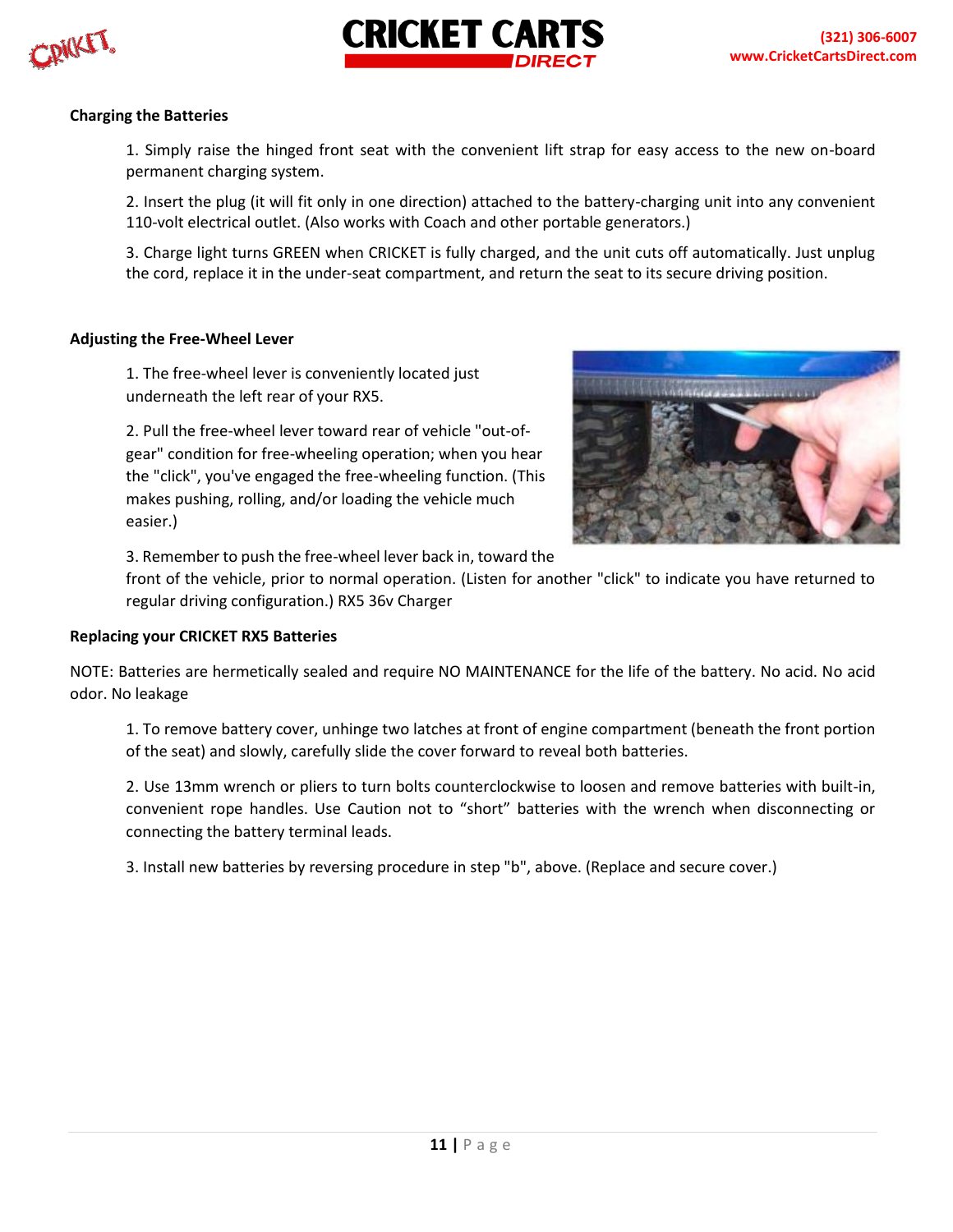

#### **Charging the Batteries**

1. Simply raise the hinged front seat with the convenient lift strap for easy access to the new on-board permanent charging system.

2. Insert the plug (it will fit only in one direction) attached to the battery-charging unit into any convenient 110-volt electrical outlet. (Also works with Coach and other portable generators.)

3. Charge light turns GREEN when CRICKET is fully charged, and the unit cuts off automatically. Just unplug the cord, replace it in the under-seat compartment, and return the seat to its secure driving position.

#### **Adjusting the Free-Wheel Lever**

1. The free-wheel lever is conveniently located just underneath the left rear of your RX5.

2. Pull the free-wheel lever toward rear of vehicle "out-ofgear" condition for free-wheeling operation; when you hear the "click", you've engaged the free-wheeling function. (This makes pushing, rolling, and/or loading the vehicle much easier.)



3. Remember to push the free-wheel lever back in, toward the

front of the vehicle, prior to normal operation. (Listen for another "click" to indicate you have returned to regular driving configuration.) RX5 36v Charger

#### **Replacing your CRICKET RX5 Batteries**

NOTE: Batteries are hermetically sealed and require NO MAINTENANCE for the life of the battery. No acid. No acid odor. No leakage

1. To remove battery cover, unhinge two latches at front of engine compartment (beneath the front portion of the seat) and slowly, carefully slide the cover forward to reveal both batteries.

2. Use 13mm wrench or pliers to turn bolts counterclockwise to loosen and remove batteries with built-in, convenient rope handles. Use Caution not to "short" batteries with the wrench when disconnecting or connecting the battery terminal leads.

3. Install new batteries by reversing procedure in step "b", above. (Replace and secure cover.)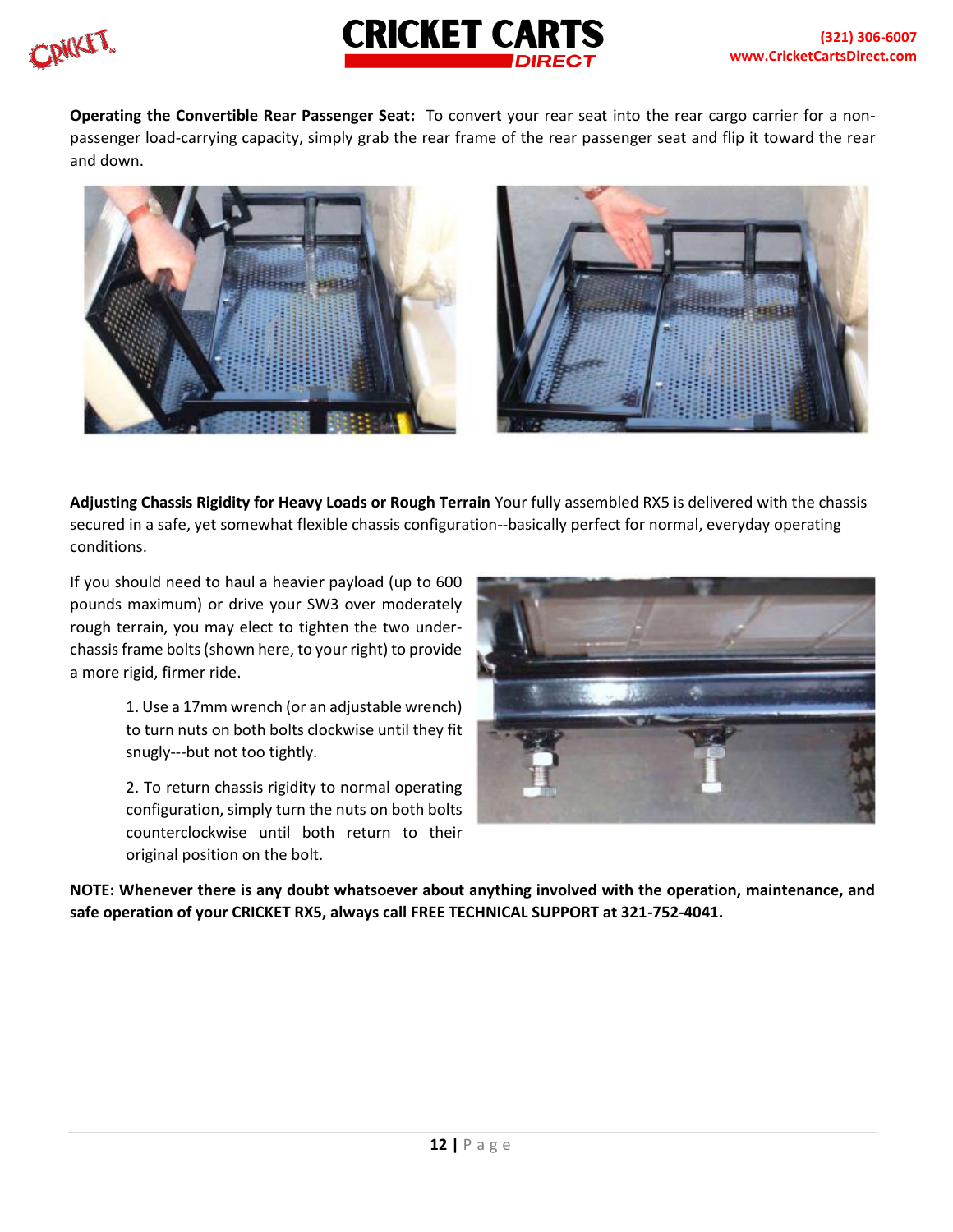



**Operating the Convertible Rear Passenger Seat:** To convert your rear seat into the rear cargo carrier for a nonpassenger load-carrying capacity, simply grab the rear frame of the rear passenger seat and flip it toward the rear and down.



**Adjusting Chassis Rigidity for Heavy Loads or Rough Terrain** Your fully assembled RX5 is delivered with the chassis secured in a safe, yet somewhat flexible chassis configuration--basically perfect for normal, everyday operating conditions.

If you should need to haul a heavier payload (up to 600 pounds maximum) or drive your SW3 over moderately rough terrain, you may elect to tighten the two underchassis frame bolts (shown here, to your right) to provide a more rigid, firmer ride.

> 1. Use a 17mm wrench (or an adjustable wrench) to turn nuts on both bolts clockwise until they fit snugly---but not too tightly.

> 2. To return chassis rigidity to normal operating configuration, simply turn the nuts on both bolts counterclockwise until both return to their original position on the bolt.



**NOTE: Whenever there is any doubt whatsoever about anything involved with the operation, maintenance, and safe operation of your CRICKET RX5, always call FREE TECHNICAL SUPPORT at 321-752-4041.**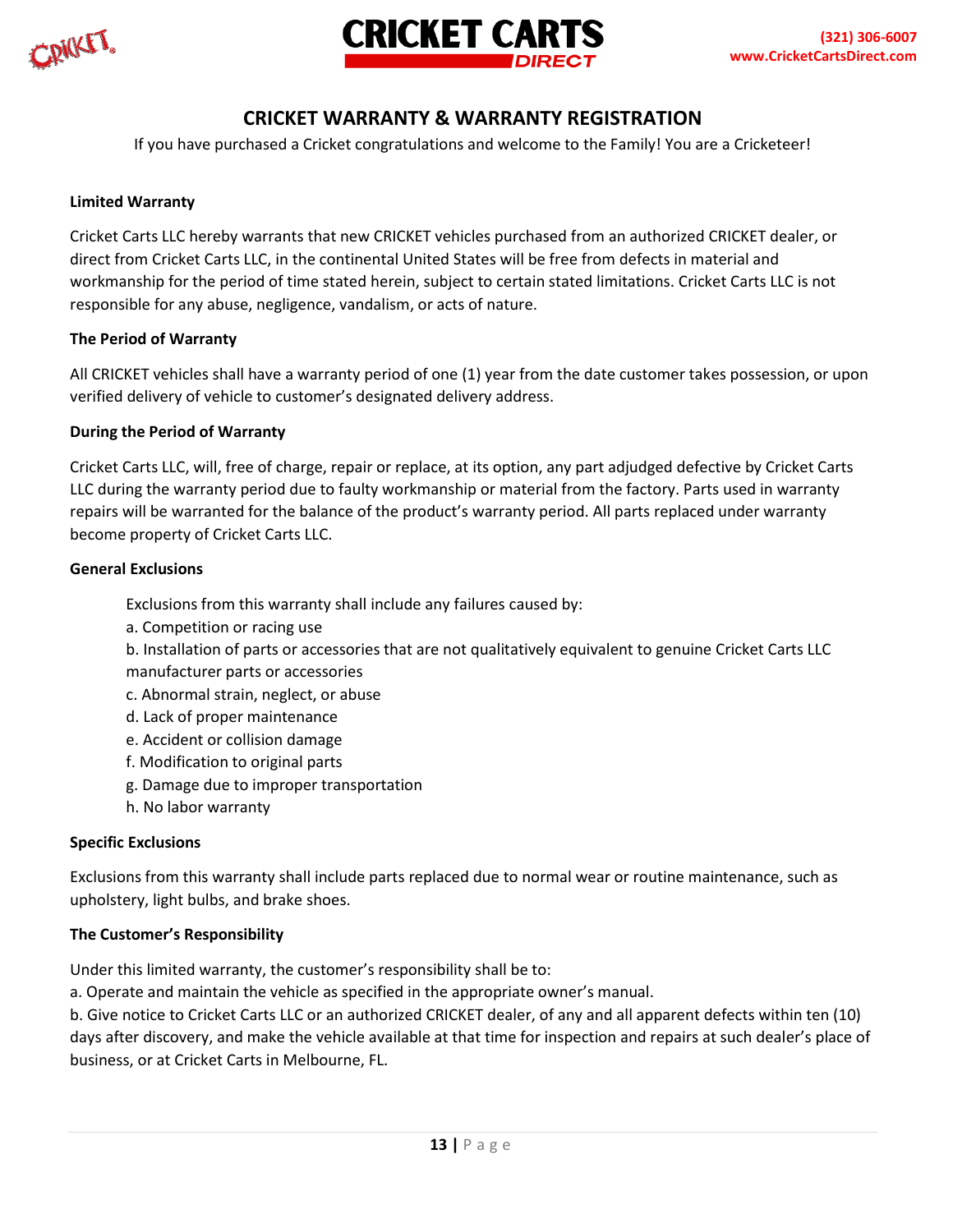**SPICKET** 



# **CRICKET WARRANTY & WARRANTY REGISTRATION**

If you have purchased a Cricket congratulations and welcome to the Family! You are a Cricketeer!

#### **Limited Warranty**

Cricket Carts LLC hereby warrants that new CRICKET vehicles purchased from an authorized CRICKET dealer, or direct from Cricket Carts LLC, in the continental United States will be free from defects in material and workmanship for the period of time stated herein, subject to certain stated limitations. Cricket Carts LLC is not responsible for any abuse, negligence, vandalism, or acts of nature.

#### **The Period of Warranty**

All CRICKET vehicles shall have a warranty period of one (1) year from the date customer takes possession, or upon verified delivery of vehicle to customer's designated delivery address.

#### **During the Period of Warranty**

Cricket Carts LLC, will, free of charge, repair or replace, at its option, any part adjudged defective by Cricket Carts LLC during the warranty period due to faulty workmanship or material from the factory. Parts used in warranty repairs will be warranted for the balance of the product's warranty period. All parts replaced under warranty become property of Cricket Carts LLC.

#### **General Exclusions**

Exclusions from this warranty shall include any failures caused by:

- a. Competition or racing use
- b. Installation of parts or accessories that are not qualitatively equivalent to genuine Cricket Carts LLC manufacturer parts or accessories
- c. Abnormal strain, neglect, or abuse
- d. Lack of proper maintenance
- e. Accident or collision damage
- f. Modification to original parts
- g. Damage due to improper transportation
- h. No labor warranty

#### **Specific Exclusions**

Exclusions from this warranty shall include parts replaced due to normal wear or routine maintenance, such as upholstery, light bulbs, and brake shoes.

#### **The Customer's Responsibility**

Under this limited warranty, the customer's responsibility shall be to:

a. Operate and maintain the vehicle as specified in the appropriate owner's manual.

b. Give notice to Cricket Carts LLC or an authorized CRICKET dealer, of any and all apparent defects within ten (10) days after discovery, and make the vehicle available at that time for inspection and repairs at such dealer's place of business, or at Cricket Carts in Melbourne, FL.